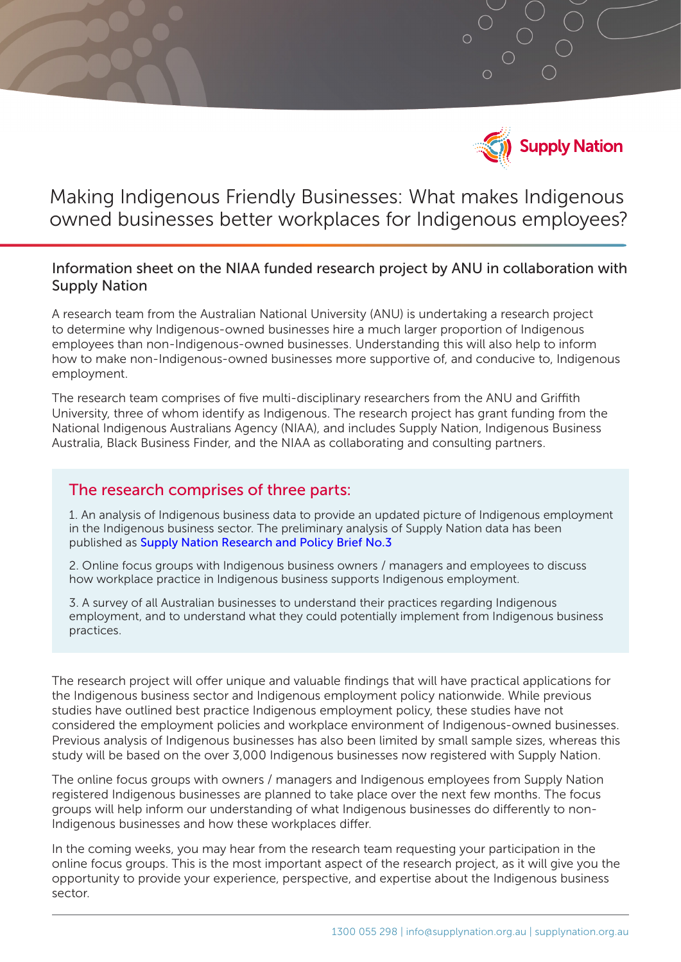

# Making Indigenous Friendly Businesses: What makes Indigenous owned businesses better workplaces for Indigenous employees?

### Information sheet on the NIAA funded research project by ANU in collaboration with Supply Nation

A research team from the Australian National University (ANU) is undertaking a research project to determine why Indigenous-owned businesses hire a much larger proportion of Indigenous employees than non-Indigenous-owned businesses. Understanding this will also help to inform how to make non-Indigenous-owned businesses more supportive of, and conducive to, Indigenous employment.

The research team comprises of five multi-disciplinary researchers from the ANU and Griffith University, three of whom identify as Indigenous. The research project has grant funding from the National Indigenous Australians Agency (NIAA), and includes Supply Nation, Indigenous Business Australia, Black Business Finder, and the NIAA as collaborating and consulting partners.

### The research comprises of three parts:

1. An analysis of Indigenous business data to provide an updated picture of Indigenous employment in the Indigenous business sector. The preliminary analysis of Supply Nation data has been published as [Supply Nation Research and Policy Brief No.3](https://supplynation.org.au/research/research-and-policy-briefs/)

2. Online focus groups with Indigenous business owners / managers and employees to discuss how workplace practice in Indigenous business supports Indigenous employment.

3. A survey of all Australian businesses to understand their practices regarding Indigenous employment, and to understand what they could potentially implement from Indigenous business practices.

The research project will offer unique and valuable findings that will have practical applications for the Indigenous business sector and Indigenous employment policy nationwide. While previous studies have outlined best practice Indigenous employment policy, these studies have not considered the employment policies and workplace environment of Indigenous-owned businesses. Previous analysis of Indigenous businesses has also been limited by small sample sizes, whereas this study will be based on the over 3,000 Indigenous businesses now registered with Supply Nation.

The online focus groups with owners / managers and Indigenous employees from Supply Nation registered Indigenous businesses are planned to take place over the next few months. The focus groups will help inform our understanding of what Indigenous businesses do differently to non-Indigenous businesses and how these workplaces differ.

In the coming weeks, you may hear from the research team requesting your participation in the online focus groups. This is the most important aspect of the research project, as it will give you the opportunity to provide your experience, perspective, and expertise about the Indigenous business sector.